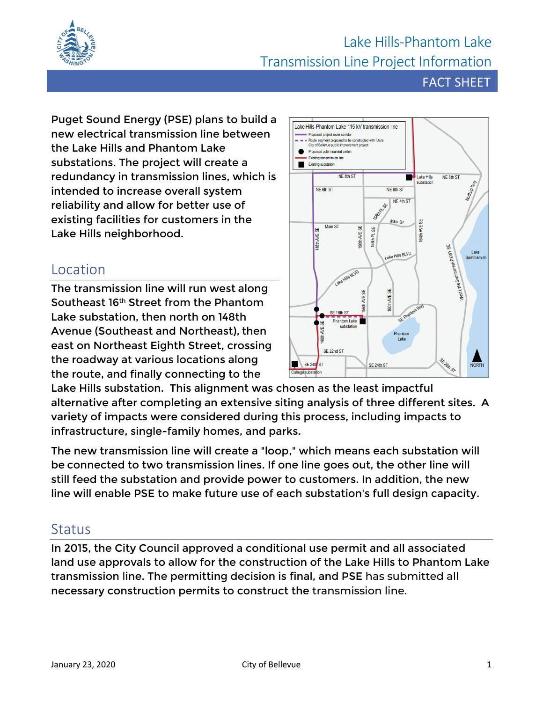

## Lake Hills-Phantom Lake Transmission Line Project Information

FACT SHEET

Puget Sound Energy (PSE) plans to build a new electrical transmission line between the Lake Hills and Phantom Lake substations. The project will create a redundancy in transmission lines, which is intended to increase overall system reliability and allow for better use of existing facilities for customers in the Lake Hills neighborhood.

## Location

The transmission line will run west along Southeast 16th Street from the Phantom Lake substation, then north on 148th Avenue (Southeast and Northeast), then east on Northeast Eighth Street, crossing the roadway at various locations along the route, and finally connecting to the



Lake Hills substation. This alignment was chosen as the least impactful alternative after completing an extensive siting analysis of three different sites. A variety of impacts were considered during this process, including impacts to infrastructure, single-family homes, and parks.

The new transmission line will create a "loop," which means each substation will be connected to two transmission lines. If one line goes out, the other line will still feed the substation and provide power to customers. In addition, the new line will enable PSE to make future use of each substation's full design capacity.

## **Status**

In 2015, the City Council approved a conditional use permit and all associated land use approvals to allow for the construction of the Lake Hills to Phantom Lake transmission line. The permitting decision is final, and PSE has submitted all necessary construction permits to construct the transmission line.